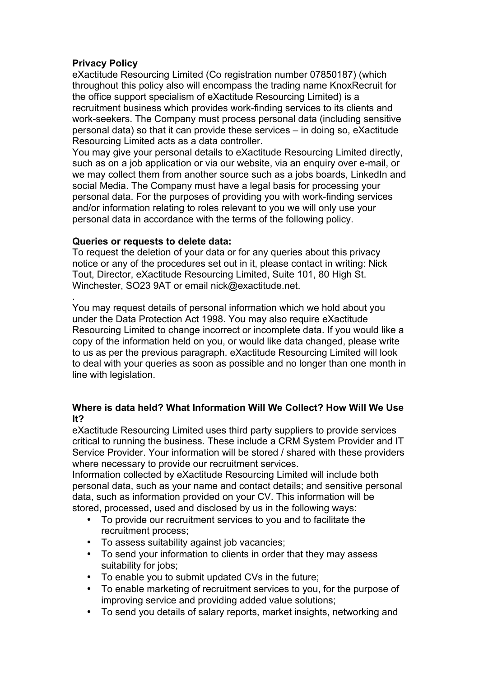# **Privacy Policy**

eXactitude Resourcing Limited (Co registration number 07850187) (which throughout this policy also will encompass the trading name KnoxRecruit for the office support specialism of eXactitude Resourcing Limited) is a recruitment business which provides work-finding services to its clients and work-seekers. The Company must process personal data (including sensitive personal data) so that it can provide these services – in doing so, eXactitude Resourcing Limited acts as a data controller.

You may give your personal details to eXactitude Resourcing Limited directly, such as on a job application or via our website, via an enquiry over e-mail, or we may collect them from another source such as a jobs boards, LinkedIn and social Media. The Company must have a legal basis for processing your personal data. For the purposes of providing you with work-finding services and/or information relating to roles relevant to you we will only use your personal data in accordance with the terms of the following policy.

# **Queries or requests to delete data:**

To request the deletion of your data or for any queries about this privacy notice or any of the procedures set out in it, please contact in writing: Nick Tout, Director, eXactitude Resourcing Limited, Suite 101, 80 High St. Winchester, SO23 9AT or email nick@exactitude.net.

. You may request details of personal information which we hold about you under the Data Protection Act 1998. You may also require eXactitude Resourcing Limited to change incorrect or incomplete data. If you would like a copy of the information held on you, or would like data changed, please write to us as per the previous paragraph. eXactitude Resourcing Limited will look to deal with your queries as soon as possible and no longer than one month in line with legislation.

# **Where is data held? What Information Will We Collect? How Will We Use It?**

eXactitude Resourcing Limited uses third party suppliers to provide services critical to running the business. These include a CRM System Provider and IT Service Provider. Your information will be stored / shared with these providers where necessary to provide our recruitment services.

Information collected by eXactitude Resourcing Limited will include both personal data, such as your name and contact details; and sensitive personal data, such as information provided on your CV. This information will be stored, processed, used and disclosed by us in the following ways:

- To provide our recruitment services to you and to facilitate the recruitment process;
- To assess suitability against job vacancies;
- To send your information to clients in order that they may assess suitability for jobs;
- To enable you to submit updated CVs in the future;
- To enable marketing of recruitment services to you, for the purpose of improving service and providing added value solutions;
- To send you details of salary reports, market insights, networking and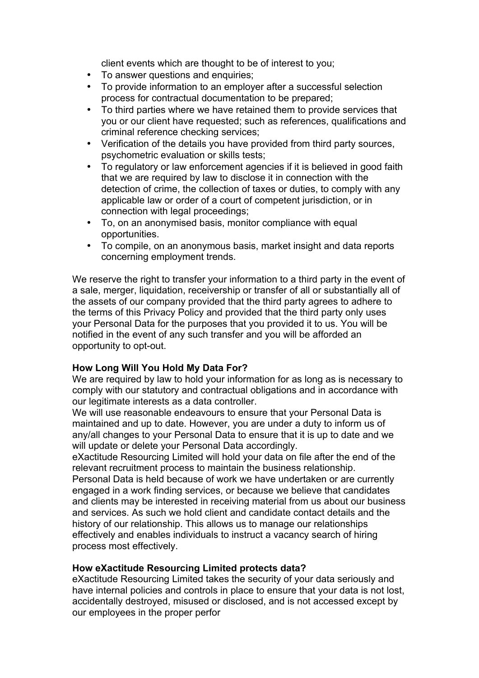client events which are thought to be of interest to you;

- To answer questions and enquiries;
- To provide information to an employer after a successful selection process for contractual documentation to be prepared;
- To third parties where we have retained them to provide services that you or our client have requested; such as references, qualifications and criminal reference checking services;
- Verification of the details you have provided from third party sources, psychometric evaluation or skills tests;
- To regulatory or law enforcement agencies if it is believed in good faith that we are required by law to disclose it in connection with the detection of crime, the collection of taxes or duties, to comply with any applicable law or order of a court of competent jurisdiction, or in connection with legal proceedings;
- To, on an anonymised basis, monitor compliance with equal opportunities.
- To compile, on an anonymous basis, market insight and data reports concerning employment trends.

We reserve the right to transfer your information to a third party in the event of a sale, merger, liquidation, receivership or transfer of all or substantially all of the assets of our company provided that the third party agrees to adhere to the terms of this Privacy Policy and provided that the third party only uses your Personal Data for the purposes that you provided it to us. You will be notified in the event of any such transfer and you will be afforded an opportunity to opt-out.

# **How Long Will You Hold My Data For?**

We are required by law to hold your information for as long as is necessary to comply with our statutory and contractual obligations and in accordance with our legitimate interests as a data controller.

We will use reasonable endeavours to ensure that your Personal Data is maintained and up to date. However, you are under a duty to inform us of any/all changes to your Personal Data to ensure that it is up to date and we will update or delete your Personal Data accordingly.

eXactitude Resourcing Limited will hold your data on file after the end of the relevant recruitment process to maintain the business relationship.

Personal Data is held because of work we have undertaken or are currently engaged in a work finding services, or because we believe that candidates and clients may be interested in receiving material from us about our business and services. As such we hold client and candidate contact details and the history of our relationship. This allows us to manage our relationships effectively and enables individuals to instruct a vacancy search of hiring process most effectively.

## **How eXactitude Resourcing Limited protects data?**

eXactitude Resourcing Limited takes the security of your data seriously and have internal policies and controls in place to ensure that your data is not lost, accidentally destroyed, misused or disclosed, and is not accessed except by our employees in the proper perfor